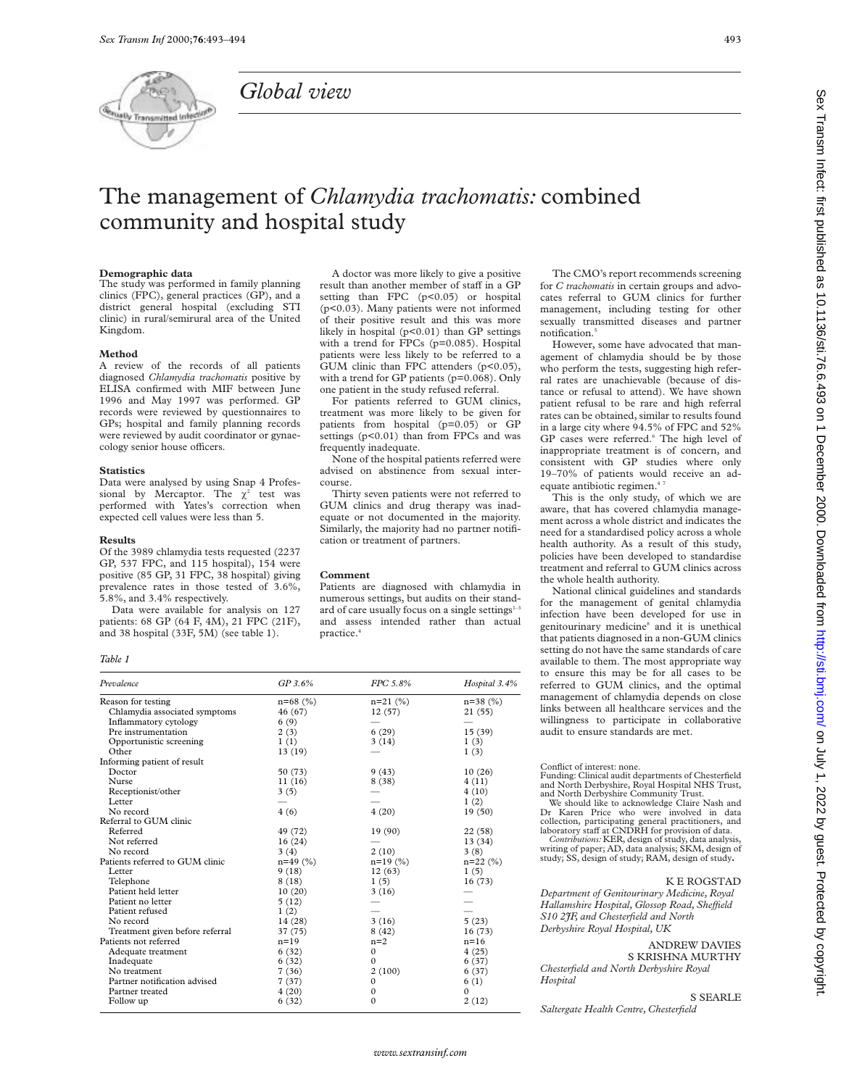

*Global view*

For patients referred to GUM clinics, treatment was more likely to be given for patients from hospital (p=0.05) or GP settings (p<0.01) than from FPCs and was frequently inadequate.

None of the hospital patients referred were advised on abstinence from sexual intercourse.

Thirty seven patients were not referred to GUM clinics and drug therapy was inadequate or not documented in the majority. Similarly, the majority had no partner notification or treatment of partners.

### **Comment**

Patients are diagnosed with chlamydia in numerous settings, but audits on their standard of care usually focus on a single settings1and assess intended rather than actual practice.4

The CMO's report recommends screening for *C trachomatis* in certain groups and advocates referral to GUM clinics for further management, including testing for other sexually transmitted diseases and partner notification.<sup>5</sup>

However, some have advocated that management of chlamydia should be by those who perform the tests, suggesting high referral rates are unachievable (because of distance or refusal to attend). We have shown patient refusal to be rare and high referral rates can be obtained, similar to results found in a large city where 94.5% of FPC and 52% GP cases were referred.<sup>6</sup> The high level of inappropriate treatment is of concern, and consistent with GP studies where only 19–70% of patients would receive an adequate antibiotic regimen.<sup>4</sup>

This is the only study, of which we are aware, that has covered chlamydia management across a whole district and indicates the need for a standardised policy across a whole health authority. As a result of this study, policies have been developed to standardise treatment and referral to GUM clinics across the whole health authority.

Sex Transm Infect: first published as 10.11186/sti.76.6.493 on 1 December 2000. Downloaded from http://sti.bmj.com/ on July 1, 2022 by guest. Protected by copyright. Sex Transm Infect: first published as 10.1136/sti.76.6.493 on 1 December 2000. Downloaded from Intp://sti.b/isti.bm/ http://sti.bm/ Dublished as 10.1136/sti.7987 by 1, 2022 by 1, 2022 by 1, 2021 on 1 December 2000. Downloa

National clinical guidelines and standards for the management of genital chlamydia infection have been developed for use in genitourinary medicine<sup>8</sup> and it is unethical that patients diagnosed in a non-GUM clinics setting do not have the same standards of care available to them. The most appropriate way to ensure this may be for all cases to be referred to GUM clinics, and the optimal management of chlamydia depends on close links between all healthcare services and the willingness to participate in collaborative audit to ensure standards are met.

#### Conflict of interest: none.

Funding: Clinical audit departments of Chesterfield and North Derbyshire, Royal Hospital NHS Trust, and North Derbyshire Community Trust. We should like to acknowledge Claire Nash and Dr Karen Price who were involved in data collection, participating general practitioners, and<br>laboratory staff at CNDRH for provision of data.<br>*Contributions:* KER, design of study, data analysis,

writing of paper; AD, data analysis; SKM, design of study; SS, design of study; RAM, design of study**.**

#### K E ROGSTAD

*Department of Genitourinary Medicine, Royal Hallamshire Hospital, Glossop Road, SheYeld S10 2JF, and Chesterfield and North Derbyshire Royal Hospital, UK*

ANDREW DAVIES

S KRISHNA MURTHY *Chesterfield and North Derbyshire Royal Hospital*

#### S SEARLE

*Saltergate Health Centre, Chesterfield*

**Demographic data** The study was performed in family planning clinics (FPC), general practices (GP), and a district general hospital (excluding STI clinic) in rural/semirural area of the United Kingdom.

#### **Method**

A review of the records of all patients diagnosed *Chlamydia trachomatis* positive by ELISA confirmed with MIF between June 1996 and May 1997 was performed. GP records were reviewed by questionnaires to GPs; hospital and family planning records were reviewed by audit coordinator or gynaecology senior house officers.

#### **Statistics**

Data were analysed by using Snap 4 Professional by Mercaptor. The  $\chi^2$  test was performed with Yates's correction when expected cell values were less than 5.

#### **Results**

Of the 3989 chlamydia tests requested (2237 GP, 537 FPC, and 115 hospital), 154 were positive (85 GP, 31 FPC, 38 hospital) giving prevalence rates in those tested of 3.6%, 5.8%, and 3.4% respectively.

Data were available for analysis on 127 patients: 68 GP (64 F, 4M), 21 FPC (21F), and 38 hospital (33F, 5M) (see table 1).

#### *Table 1*

| Prevalence                      | $GP$ 3.6%    | FPC 5.8%     | Hospital 3.4% |
|---------------------------------|--------------|--------------|---------------|
| Reason for testing              | $n = 68$ (%) | $n=21$ (%)   | $n=38$ (%)    |
| Chlamydia associated symptoms   | 46 (67)      | 12(57)       | 21(55)        |
| Inflammatory cytology           | 6(9)         |              |               |
| Pre instrumentation             | 2(3)         | 6(29)        | 15(39)        |
| Opportunistic screening         | 1(1)         | 3(14)        | 1(3)          |
| Other                           | 13(19)       |              | 1(3)          |
| Informing patient of result     |              |              |               |
| Doctor                          | 50 (73)      | 9(43)        | 10(26)        |
| Nurse                           | 11(16)       | 8(38)        | 4(11)         |
| Receptionist/other              | 3(5)         |              | 4(10)         |
| Letter                          |              |              | 1(2)          |
| No record                       | 4(6)         | 4(20)        | 19(50)        |
| Referral to GUM clinic          |              |              |               |
| Referred                        | 49 (72)      | 19(90)       | 22(58)        |
| Not referred                    | 16(24)       |              | 13 (34)       |
| No record                       | 3(4)         | 2(10)        | 3(8)          |
| Patients referred to GUM clinic | $n=49$ (%)   | $n=19(%)$    | $n=22$ (%)    |
| Letter                          | 9(18)        | 12(63)       | 1(5)          |
| Telephone                       | 8(18)        | 1(5)         | 16 (73)       |
| Patient held letter             | 10(20)       | 3(16)        |               |
| Patient no letter               | 5(12)        |              |               |
| Patient refused                 | 1(2)         |              |               |
| No record                       | 14 (28)      | 3(16)        | 5(23)         |
| Treatment given before referral | 37 (75)      | 8(42)        | 16(73)        |
| Patients not referred           | $n=19$       | $n=2$        | $n=16$        |
| Adequate treatment              | 6(32)        | $\mathbf{0}$ | 4(25)         |
| Inadequate                      | 6(32)        | $\Omega$     | 6(37)         |
| No treatment                    | 7(36)        | 2(100)       | 6(37)         |
| Partner notification advised    | 7(37)        | $\mathbf{0}$ | 6(1)          |
| Partner treated                 | 4(20)        | $\mathbf{0}$ | $\Omega$      |
| Follow up                       | 6(32)        | $\mathbf{0}$ | 2(12)         |